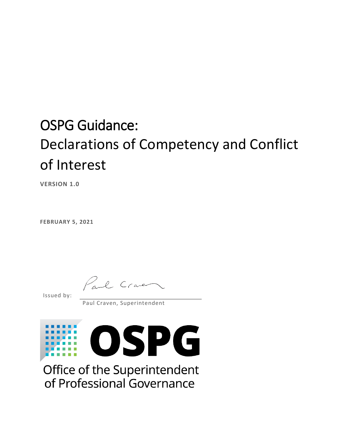### OSPG Guidance: Declarations of Competency and Conflict of Interest

**VERSION 1.0**

**FEBRUARY 5, 2021**

Paul Craven

Issued by:

Paul Craven, Superintendent



Office of the Superintendent of Professional Governance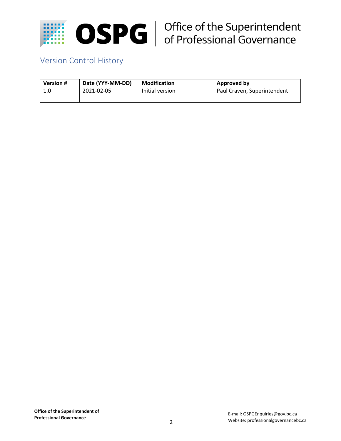

# $\mathbf{SPC}$  | Office of the Superintendent<br>
of Professional Governance

### Version Control History

| <b>Version #</b> | Date (YYY-MM-DD) | <b>Modification</b> | Approved by                 |
|------------------|------------------|---------------------|-----------------------------|
| 1.0              | 2021-02-05       | Initial version     | Paul Craven, Superintendent |
|                  |                  |                     |                             |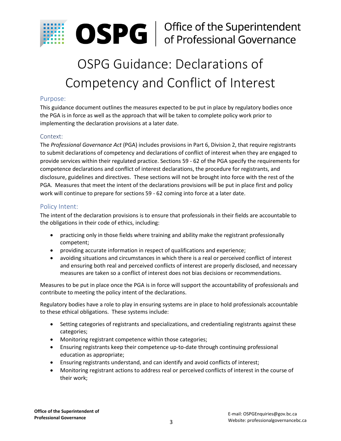

## **OSPG** | Office of the Superintendent<br>of Professional Governance

### OSPG Guidance: Declarations of Competency and Conflict of Interest

#### Purpose:

This guidance document outlines the measures expected to be put in place by regulatory bodies once the PGA is in force as well as the approach that will be taken to complete policy work prior to implementing the declaration provisions at a later date.

#### Context:

The *Professional Governance Act* (PGA) includes provisions in Part 6, Division 2, that require registrants to submit declarations of competency and declarations of conflict of interest when they are engaged to provide services within their regulated practice. Sections 59 - 62 of the PGA specify the requirements for competence declarations and conflict of interest declarations, the procedure for registrants, and disclosure, guidelines and directives. These sections will not be brought into force with the rest of the PGA. Measures that meet the intent of the declarations provisions will be put in place first and policy work will continue to prepare for sections 59 - 62 coming into force at a later date.

#### Policy Intent:

The intent of the declaration provisions is to ensure that professionals in their fields are accountable to the obligations in their code of ethics, including:

- practicing only in those fields where training and ability make the registrant professionally competent;
- providing accurate information in respect of qualifications and experience;
- avoiding situations and circumstances in which there is a real or perceived conflict of interest and ensuring both real and perceived conflicts of interest are properly disclosed, and necessary measures are taken so a conflict of interest does not bias decisions or recommendations.

Measures to be put in place once the PGA is in force will support the accountability of professionals and contribute to meeting the policy intent of the declarations.

Regulatory bodies have a role to play in ensuring systems are in place to hold professionals accountable to these ethical obligations. These systems include:

- Setting categories of registrants and specializations, and credentialing registrants against these categories;
- Monitoring registrant competence within those categories;
- Ensuring registrants keep their competence up-to-date through continuing professional education as appropriate;
- Ensuring registrants understand, and can identify and avoid conflicts of interest;
- Monitoring registrant actions to address real or perceived conflicts of interest in the course of their work;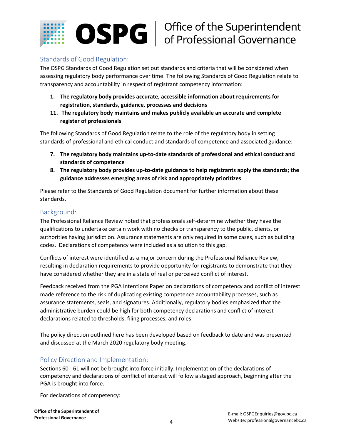

#### Standards of Good Regulation:

The OSPG Standards of Good Regulation set out standards and criteria that will be considered when assessing regulatory body performance over time. The following Standards of Good Regulation relate to transparency and accountability in respect of registrant competency information:

- **1. The regulatory body provides accurate, accessible information about requirements for registration, standards, guidance, processes and decisions**
- **11. The regulatory body maintains and makes publicly available an accurate and complete register of professionals**

The following Standards of Good Regulation relate to the role of the regulatory body in setting standards of professional and ethical conduct and standards of competence and associated guidance:

- **7. The regulatory body maintains up-to-date standards of professional and ethical conduct and standards of competence**
- **8. The regulatory body provides up-to-date guidance to help registrants apply the standards; the guidance addresses emerging areas of risk and appropriately prioritizes**

Please refer to the Standards of Good Regulation document for further information about these standards.

#### Background:

The Professional Reliance Review noted that professionals self-determine whether they have the qualifications to undertake certain work with no checks or transparency to the public, clients, or authorities having jurisdiction. Assurance statements are only required in some cases, such as building codes. Declarations of competency were included as a solution to this gap.

Conflicts of interest were identified as a major concern during the Professional Reliance Review, resulting in declaration requirements to provide opportunity for registrants to demonstrate that they have considered whether they are in a state of real or perceived conflict of interest.

Feedback received from the PGA Intentions Paper on declarations of competency and conflict of interest made reference to the risk of duplicating existing competence accountability processes, such as assurance statements, seals, and signatures. Additionally, regulatory bodies emphasized that the administrative burden could be high for both competency declarations and conflict of interest declarations related to thresholds, filing processes, and roles.

The policy direction outlined here has been developed based on feedback to date and was presented and discussed at the March 2020 regulatory body meeting.

#### Policy Direction and Implementation:

Sections 60 - 61 will not be brought into force initially. Implementation of the declarations of competency and declarations of conflict of interest will follow a staged approach, beginning after the PGA is brought into force.

For declarations of competency: